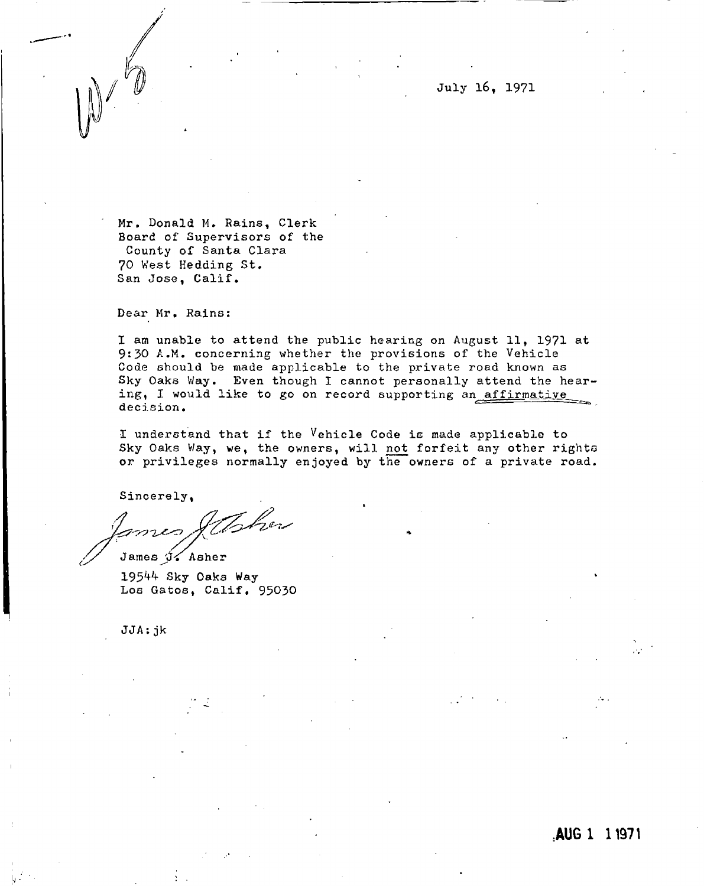/ **July 16, 1971** 

**Mr, Donald M. Rains, Clerk Board of Supervisors of the County of Santa Clara 70 West Hedding St. San Jose, Calif.** 

**Dear Mr, Rains:** 

**I am unable to attend the public hearing on August 11, 1971 at 9:30 A.M. concerning whether the provisions of the Vehicle Code should be made applicable to the private road known as Sky Oaks Way. Even though I cannot personally attend the hear**ing, I would like to go on record supporting an affirmative **decision.** 

**I understand that if the Vehicle Code is made applicable to Sky Oaks Way, we, the owners, will not forfeit any other righto or privileges normally enjoyed by the owners of a private road.** 

**Sincerely,** 

Toher بصصة وسن

James  $\sqrt[4]{\epsilon}$  Asher **195 ^ Sky Oaks Way Los Gatos, Calif, 95030** 

**JJA:jk** 

.AUG 1 11971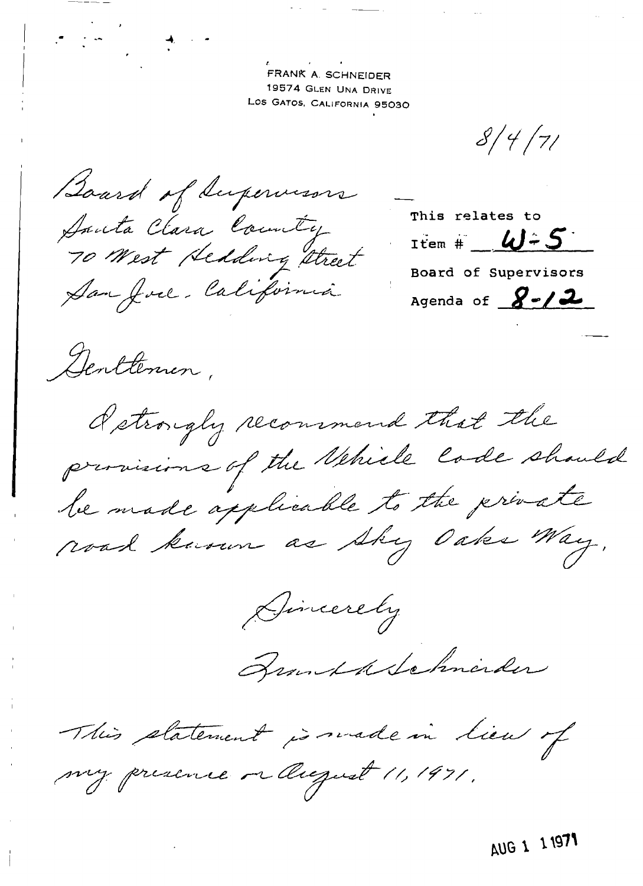FRANK A. SCHNEIDER 19574 GLEN UNA DRIVE LOS GATOS, CALIFORNIA 95030

 $8/4/7/$ 

Board of Supervisors Santa Clara County San Joel, Califórnia

This relates to Item #  $\angle \omega$  - 5 Board of Supervisors Agenda of  $8 - 2$ 

Denttemen,

detroughy recommend that the provisions of the Nehicle Code should be made applicable to the private road known as shy Oaks Way.

Gincerely

Branchdelehnerder

This platement is made in lieu of my presence or August 11, 1971.

AUG 1 1 1971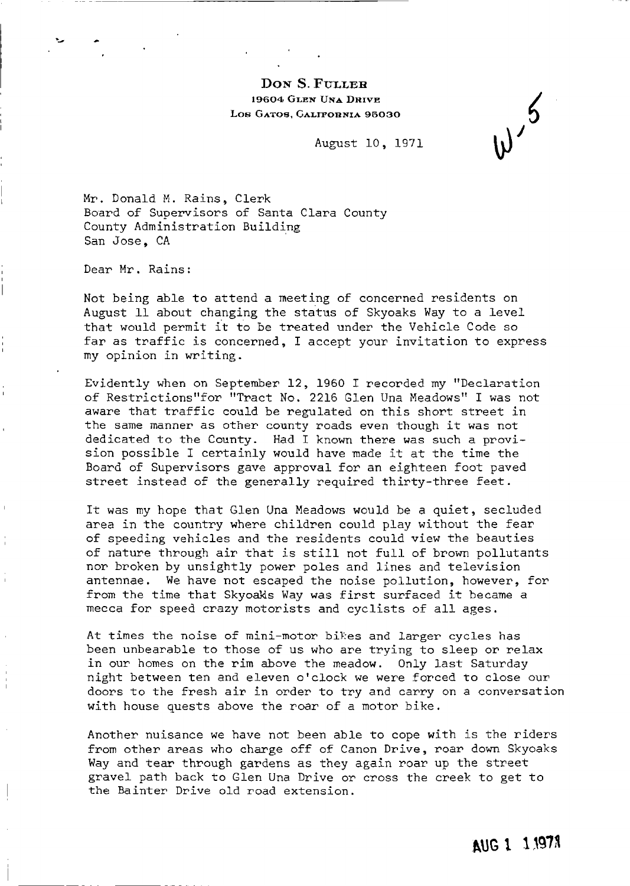### DON S. FULLER 19604 GLEN UNA DRIVE LOS GATOS, GALIFORNIA 95030

August 10, 1971

Mr. Donald M. Rains, Clerk Board of Supervisors of Santa Clara County County Administration Building San Jose, CA

Dear Mr. Rains:

Not being able to attend a meeting of concerned residents on August 11 about changing the status of Skyoaks Way to a level that would permit it to be treated under the Vehicle Code so far as traffic is concerned, I accept your invitation to express my opinion in writing.

Evidently when on September 12, 1960 I recorded my "Declaration of Restrictions"for "Tract No. 2216 Glen Una Meadows" I was not aware that traffic could be regulated on this short street in the same manner as other county roads even though it was not dedicated to the County. Had I known there was such a provision possible I certainly would have made it at the time the Board of Supervisors gave approval for an eighteen foot paved street instead of the generally required thirty-three feet.

It was my hope that Glen Una Meadows would be a quiet, secluded area in the country where children could play without the fear of speeding vehicles and the residents could view the beauties of nature through air that is still not full of brown pollutants nor broken by unsightly power poles and lines and television antennae. We have not escaped the noise pollution, however, for from the time that Skyoaks Way was first surfaced it became a mecca for speed crazy motorists and cyclists of all ages.

At times the noise of mini-motor bikes and larger cycles has been unbearable to those of us who are trying to sleep or relax in our homes on the rim above the meadow. Only last Saturday night between ten and eleven o'clock we were forced to close our doors to the fresh air in order to try and carry on a conversation with house quests above the roar of a motor bike.

Another nuisance we have not been able to cope with is the riders from other areas who charge off of Canon Drive, roar down Skyoaks Way and tear through gardens as they again roar up the street gravel path back to Glen Una Drive or cross the creek to get to the Bainter Drive old road extension.

AUG 1 1,1978

 $w^{5}$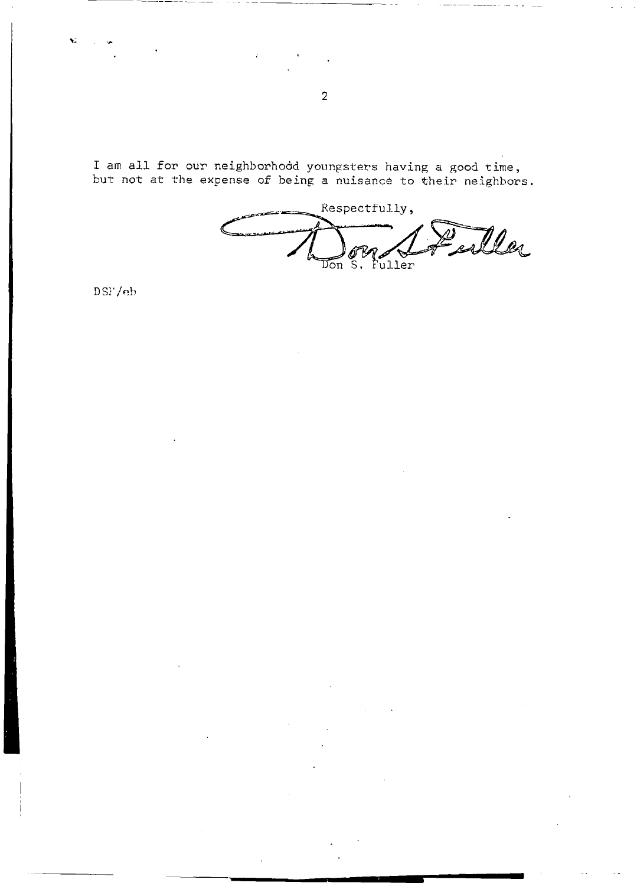I am all for our neighborhood youngsters having a good time,<br>but not at the expense of being a nuisance to their neighbors.

Respectfully, Peiller Don S. Fuller

 $DSF/eb$ 

Ń.

 $\overline{2}$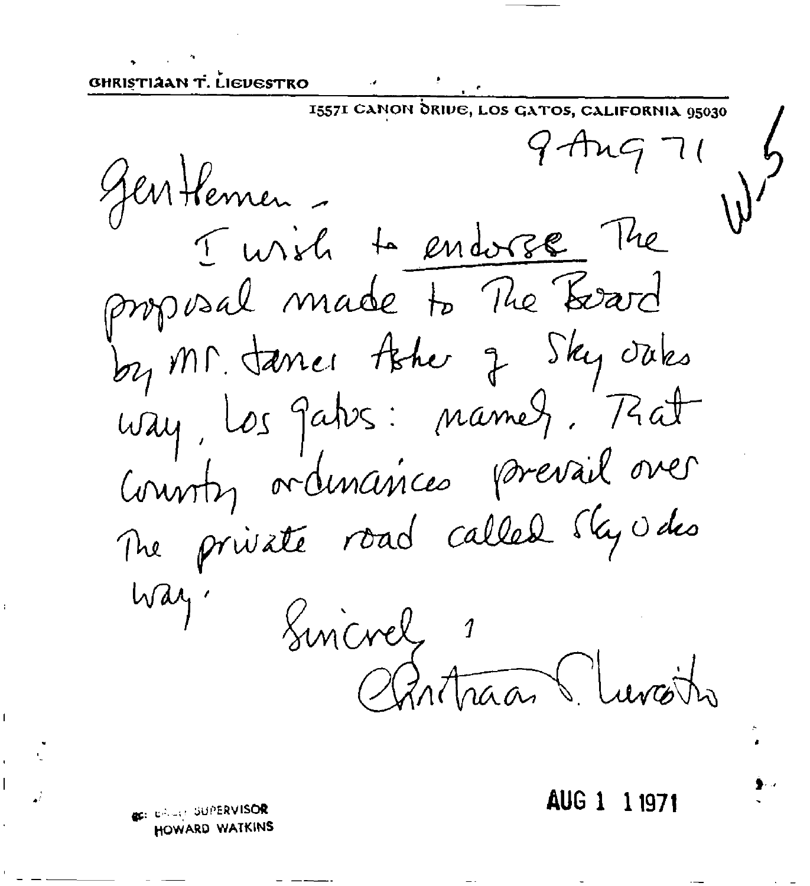GHRISTIAAN T. LIEVESTRO

1557I CANON ORIVE, LOS GATOS, CALIFORNIA 95030  $9$  Ang 71 Jen Hennen -I wish to endorse The proposal made to The Board by Mr. Janes the q Sky oaks way, los gatos: namez, Fat County ordinarices prevail over The private road called sky v des Way. Sincrel 1 Cantraan Turcits

AUG 1 11971

**BELL BRUIS SUPERVISOR** HOWARD WATKINS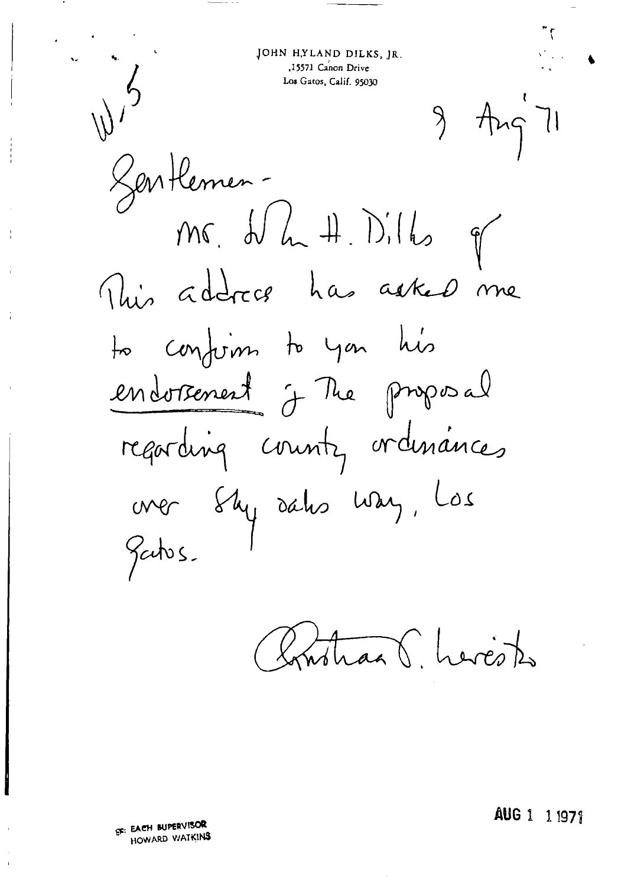JOHN HYLAND DILKS, JR. 15571 Canon Drive Los Gatos, Calif. 95030

 $9 - Ang 71$ 

Sentlemen-

 $mc_{1}$   $d_{2}$   $d_{2}$   $d_{1}$   $d_{2}$   $d_{3}$ This address has asked me to confirm to you his endorsement j The proposal regarding county ordinances over Shy sahs way, Los Gatos.

monaal herests

AUG 1 1 1971

SE: EACH BUPERVISOR HOWARD WATKINS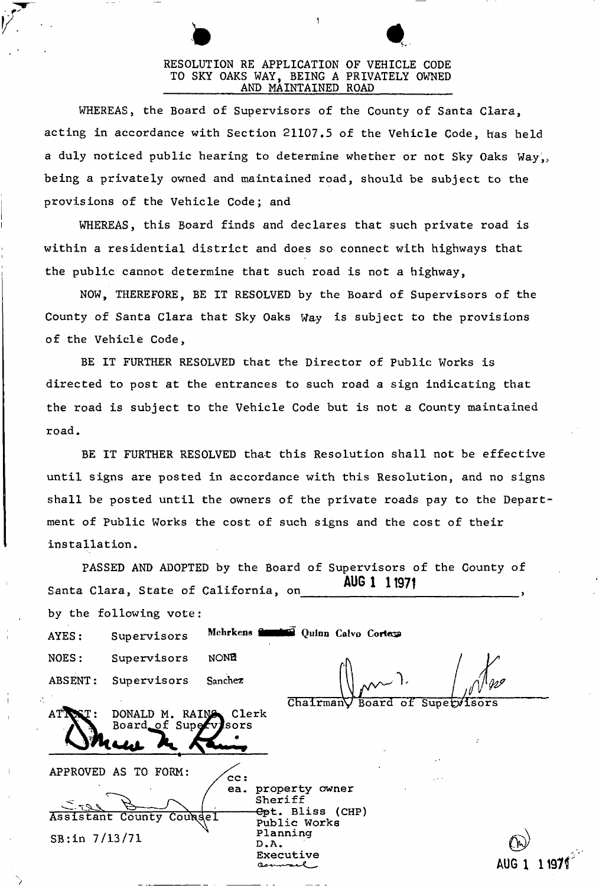## RESOLUTION RE APPLICATION OF VEHICLE CODE TO SKY OAKS WAY, BEING A PRIVATELY OWNED AND MAINTAINED ROAD

WHEREAS, the Board of Supervisors of the County of Santa Clara, acting in accordance with Section 21107.5 of the Vehicle Code, has held a duly noticed public hearing to determine whether or not Sky Oaks Way, being a privately owned and maintained road, should be subject to the provisions of the Vehicle Code; and

WHEREAS, this Board finds and declares that such private road is within a residential district and does so connect with highways that the public cannot determine that such road is not a highway,

NOW, THEREFORE, BE IT RESOLVED by the Board of Supervisors of the County of Santa Clara that Sky Oaks Way is subject to the provisions of the Vehicle Code,

BE IT FURTHER RESOLVED that the Director of Public Works is directed to post at the entrances to such road a sign indicating that the road is subject to the Vehicle Code but is not a County maintained road.

BE IT FURTHER RESOLVED that this Resolution shall not be effective until signs are posted in accordance with this Resolution, and no signs shall be posted until the owners of the private roads pay to the Department of Public Works the cost of such signs and the cost of their installation.

|                             |                                               |             | PASSED AND ADOPTED by the Board of Supervisors of the County of                                                |  |
|-----------------------------|-----------------------------------------------|-------------|----------------------------------------------------------------------------------------------------------------|--|
|                             | Santa Clara, State of California, on          |             | AUG 1 1 1971                                                                                                   |  |
|                             | by the following vote:                        |             |                                                                                                                |  |
| AYES:                       | Supervisors                                   |             | Mehrkens <b>Committee</b> Quinn Calvo Cortege                                                                  |  |
| NOES:                       | Supervisors                                   | <b>NONE</b> |                                                                                                                |  |
| ABSENT:                     | Supervisors                                   | Sanchez     |                                                                                                                |  |
|                             | DONALD M. RAING Clerk<br>Board of Supervisors |             | ChairmanV Board of Supervisors                                                                                 |  |
|                             | APPROVED AS TO FORM:                          | cc:         |                                                                                                                |  |
| ے 720<br>$SB:$ in $7/13/71$ | Assistant County Coungel                      |             | ea. property owner<br>Sheriff<br><del>Cp</del> t. Bliss (CHP)<br>Public Works<br>Planning<br>D.A.<br>Executive |  |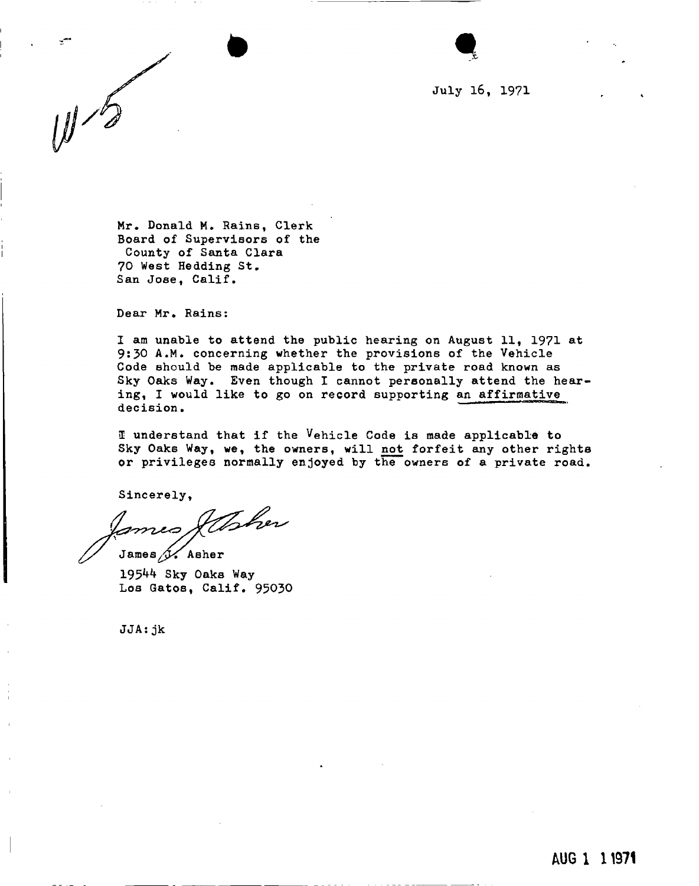**July 16, 1971** 

**Mr. Donald M. Rains, Clerk Board of Supervisors of the County of Santa Clara 70 West Hedding St.**  San Jose, Calif.

**Dear Mr. Rains:** 

**I am unable to attend the public hearing on August 11t 1971 at 9:30 A.M. concerning whether the provisions of the Vehicle Code should be made applicable to the private road known as Sky Oaks Way. Even though I cannot personally attend the hearing, I would like to go on record supporting an affirmative decision.** 

**I understand that if the Vehicle Code is made applicable to Sky Oaks Way, we, the owners, will not forfeit any other rights or privileges normally enjoyed by the owners of a private road.** 

**Sincerely,** 

ftsher mus. James  $\mathcal{I}$ . Asher

**195 ^ Sky Oaks Way Los Gatos, Calif. 95030** 

**JJA:jk**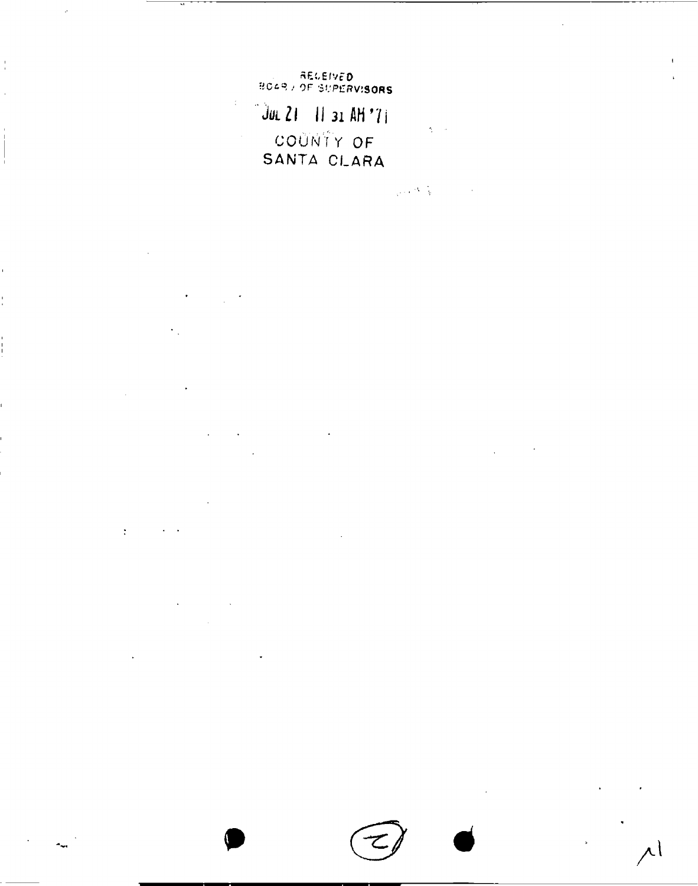AEGEIVED<br>Boar / of Supervisors

JUL 21 11 31 AM '71  $\Delta \sim 0$ COUNTY OF SANTA CLARA

 $\label{eq:2} \mathcal{L}_{\text{c}} = \mathcal{L}_{\text{c}} \left( \mathcal{L}_{\text{c}} \right) \mathcal{L}_{\text{c}} \left( \mathcal{L}_{\text{c}} \right)$ 

 $\bar{\mathcal{A}}$ 

à.

 $\frac{1}{4}$ 

 $\mathcal{C}_{\mathcal{A}}$ 

 $\mathcal{L}^{\mathcal{L}}(\mathcal{L}^{\mathcal{L}}(\mathcal{L}^{\mathcal{L}}(\mathcal{L}^{\mathcal{L}}(\mathcal{L}^{\mathcal{L}}(\mathcal{L}^{\mathcal{L}}(\mathcal{L}^{\mathcal{L}}(\mathcal{L}^{\mathcal{L}}(\mathcal{L}^{\mathcal{L}}(\mathcal{L}^{\mathcal{L}}(\mathcal{L}^{\mathcal{L}}(\mathcal{L}^{\mathcal{L}}(\mathcal{L}^{\mathcal{L}}(\mathcal{L}^{\mathcal{L}}(\mathcal{L}^{\mathcal{L}}(\mathcal{L}^{\mathcal{L}}(\mathcal{L}^{\mathcal{L$  $\bar{z}$  $\ddot{\phantom{a}}$ 

 $\bar{z}$  $\lambda_{\rm{max}}$ 

 $\ddot{\phantom{1}}$  $\mathcal{L}(\mathcal{L})$  and  $\mathcal{L}(\mathcal{L})$ 

 $\mathcal{A}$ 

 $\mathbb{R}^3$ 

r |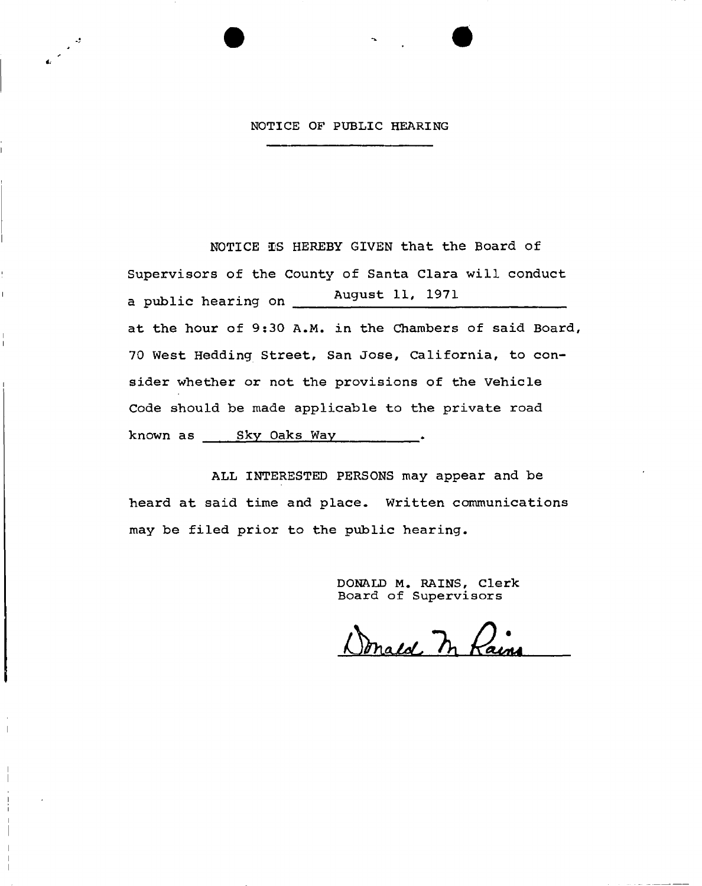#### **NOTICE OP PUBLIC HEARING**

**NOTICE IS HEREBY GIVEN that the Board of Supervisors of the County of Santa Clara will conduct a public hearing on August 11, 1971 at the hour of 9:30 A.M. in the Chambers of said Board, 70 West Hedding Street, San Jose, California, to consider whether or not the provisions of the Vehicle Code should be made applicable to the private road known as Sky Oaks Way .** 

**ALL INTERESTED PERSONS may appear and be heard at said time and place. Written communications may be filed prior to the public hearing.** 

I i. i – **DONALD M. RAINS, Clerk Board of Supervisors** 

Donald In Rain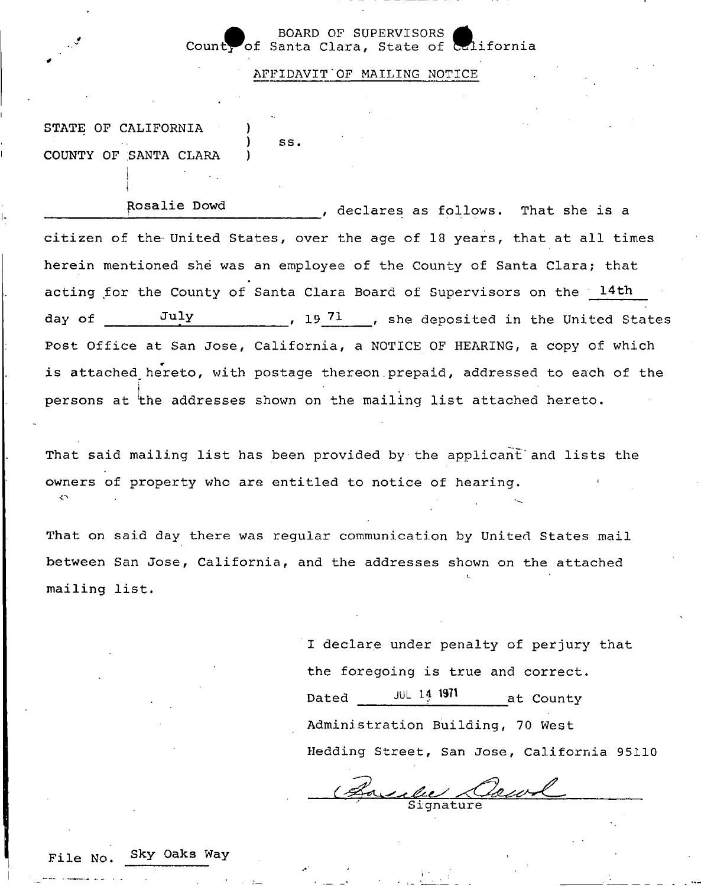#### **SUPERVISORS**<br>ra. State of California **Count^of Santa Clara, State of Wliforni** *Wrl:* **a**

**AFFIDAVIT'OF MAILING NOTICE** 

**STATE OF CALIFORNIA ) COUNTY OF SANTA CLARA )** 

**) ss** 

**Propries Follows.** That she is a **citizen of the- United States, over the age of 18 years, that at all times herein mentioned she was an employee of the County of Santa Clara; that acting for the County of Santa Clara Board of Supervisors on the 14th day of** July 1971, she deposited in the United States **Post Office at San Jose, California, a NOTICE OF HEARING, a copy of which**  is attached hereto, with postage thereon prepaid, addressed to each of the **persons at the addresses shown on the mailing list attached hereto.** 

**That said mailing list has been provided by the applicant" and lists the owners of property who are entitled to notice of hearing.**  o

**That on said day there was regular communication by United States mail between San Jose, California, and the addresses shown on the attached mailing list.** 

> **I declare under penalty of perjury that the foregoing is true and correct. Dated** JUL **14 1971 af. Count <sup>y</sup> Administration Building, 70 West Hedding Street, San Jose, California 95110**

**Signature** 

**File No. sk V 0ak s Wa Y**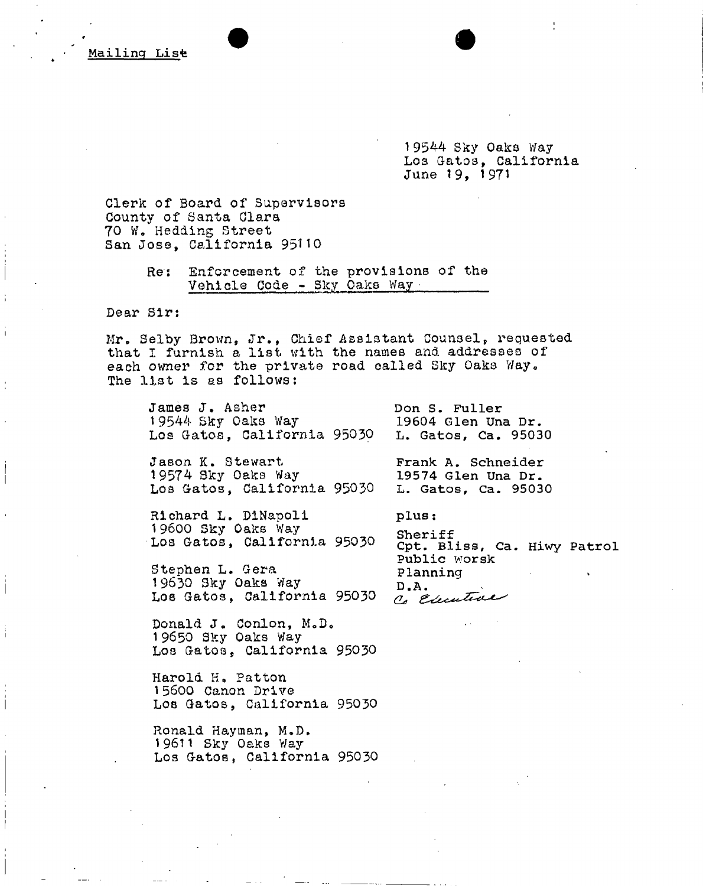19544 Sky Oaks Way Los Gatos, California June 19, 1971

Clerk of Board of Supervisors County of Santa Clara 70 W. Heading Street San Jose, California 95110

> Res Enforcement of the provisions of the Vehicle Code - Sky Oaks Way

Dear Sir:

Mr. Selby Brown, Jr., Chief Assistant Counsel, requested that I furnish a list with the names and addresses of each owner for the private road called Sky Oaks Way. The list is as follows:

James J. Asher 19544 Sky Oaks Way Los Gatos, California 95030

Jason K. Stewart 19574 Sky Oaks Way Los Gatos, California 95050

Richard L. DINapoll 19600 Sky Oaks Way Los Gatos, California 95030

Stephen L. Gera 19630 Sky Oaks Way Los Gatos, California 95030

Donald J. Conlon, M.D. 19650 Sky Oaks Way Los Gatos, California 95030

Harold H. Patton 15600 Canon Drive Los Gatos, California 95030

Ronald Hayman, M.D. 19611 Sky Oaks Way Los Gatos, California 95030 **L. Gatos, Ca. 95030 plus : Sheriff Opt. Bliss, Ca. Hiwy Patrol Public worsk Planning** 

**D.A.** 

**Don S. Fuller** 

**19604 Glen Una Dr. L. Gatos, Ca. 95030** 

**Frank A. Schneider 19574 Glen Una Dr.**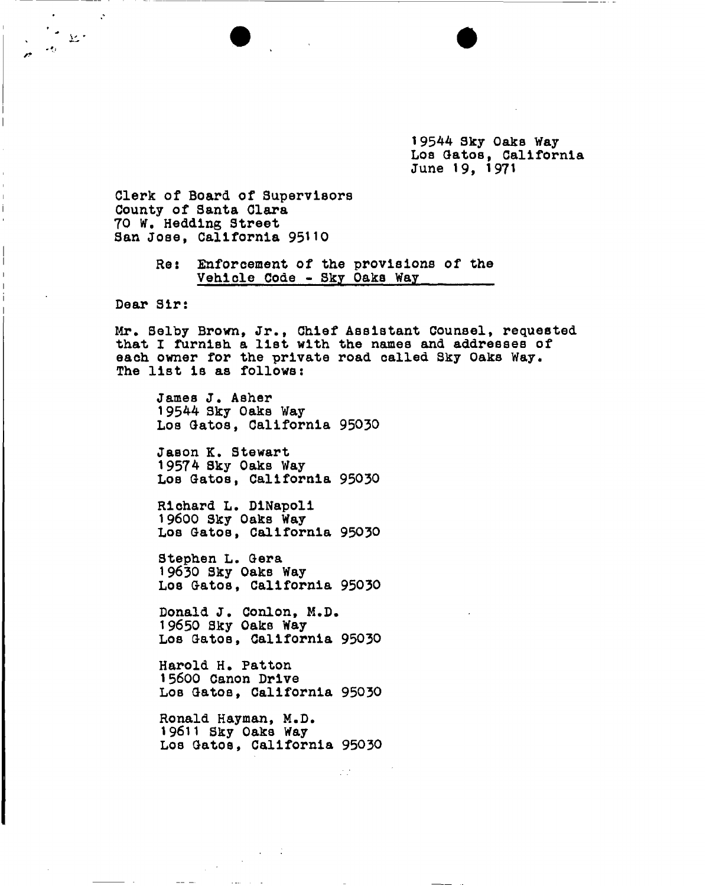19544 Sky Oaks Way Los Gatos, California June 19, 1971

Clerk of Board of Supervisors County of Santa Clara 70 W. Hedding Street San Jose, California 95110

> Re: Enforcement of the provisions of the Vehlole Code - Sky Oaks Way

Dear Sir:

 $\ddot{\cdot}$ 

 $32.7$ 

Mr. Selby Brown, Jr., Chief Assistant Counsel, requested that I furnish a list with the names and addresses of each owner for the private road called Sky Oaks Way. The list is as follows:

James J. Asher 1 9544 Sky Oaks Way Los Gatos, California 95030

Jason K. Stewart 19574 Sky Oaks Way Los Gatos, California 95030

Richard L. DiNapoli 19600 Sky Oaks Way Los Gatos, California 95030

Stephen L. Gera 19630 Sky Oaks Way Los Gatos, California 95030

Donald J. Conlon, M.D. 19650 Sky Oaks Way Los Gatos, California 95030

Harold H. Patton 15600 Canon Drive Los Gatos, California 95030

Ronald Hayman, M.D. 19611 Sky Oaks Way Los Gatos, California 95030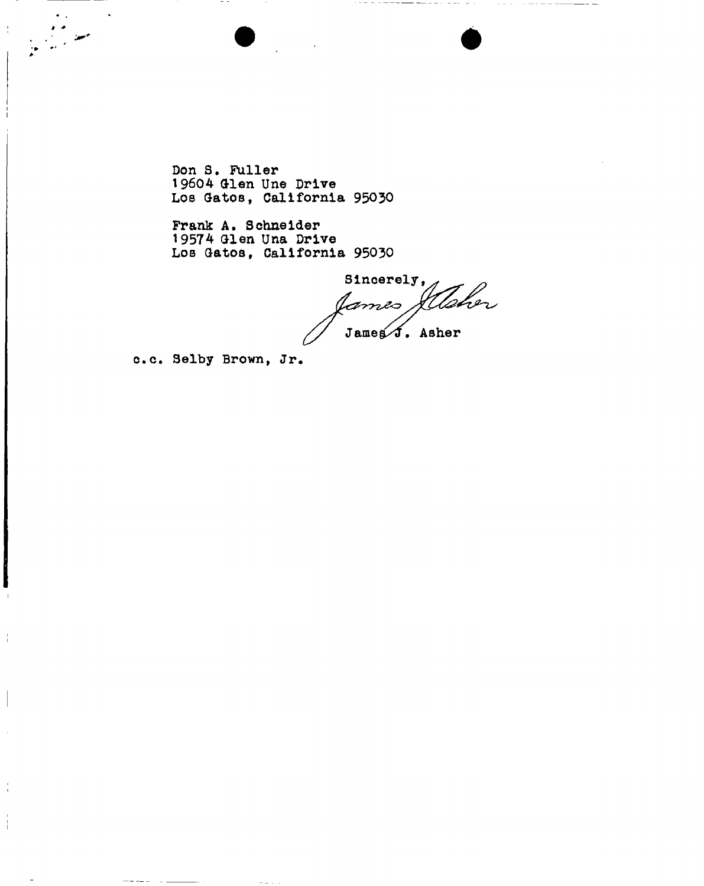$\overline{a}$ 

 $\frac{1}{4}$ 

Don S. Fuller 19604 Glen Une Drive Los Gatos, California 95030

Prank A. Schneider 19574 Glen Una Drive Los Gatos, California 95030

Sincerely,<br>James *Sllaber* James J. Asher

c.c. Selby Brown, Jr.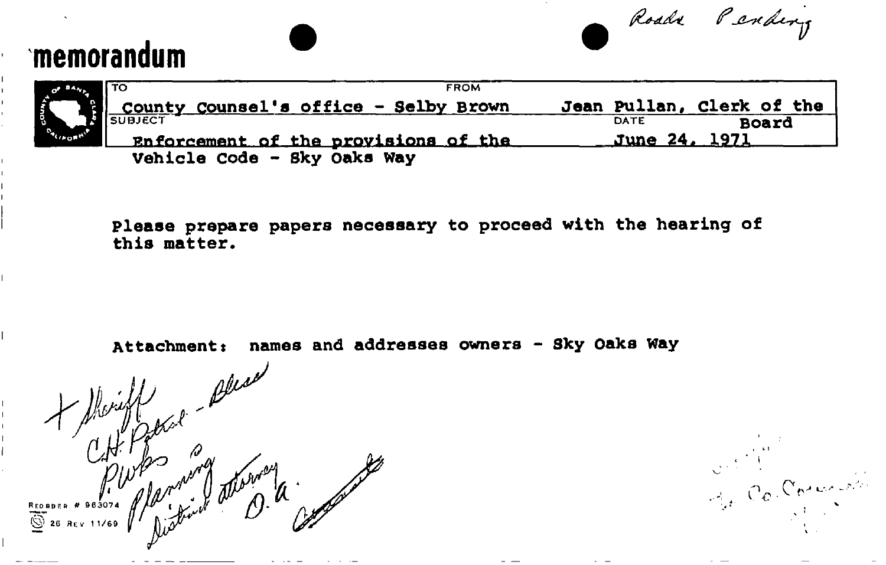# memorandum

Roads Pending

Out 1"

| $\mathbf{w}_2$             |  |
|----------------------------|--|
|                            |  |
|                            |  |
| $\eta_{\rm LQ}$<br>Q)<br>п |  |

TO TO A RESERVE TO A RESERVE TO A RESERVE TO A RESERVE TO A RESERVE TO A RESERVE TO A RESERVE TO A RESERVE TO A **County Counsel's office - Selby Brown**  SUBJEC T Enforcement of the provisions of the **Jean Pullan, Clerk of the DATE Vehicle code - Sky Oaks way June 24. 1221 Board** 

**Please prepare papers necessary to proceed with the hearing of this matter.** 

Attachment: names and addresses owners - Sky Oaks Way

Attachment: names and add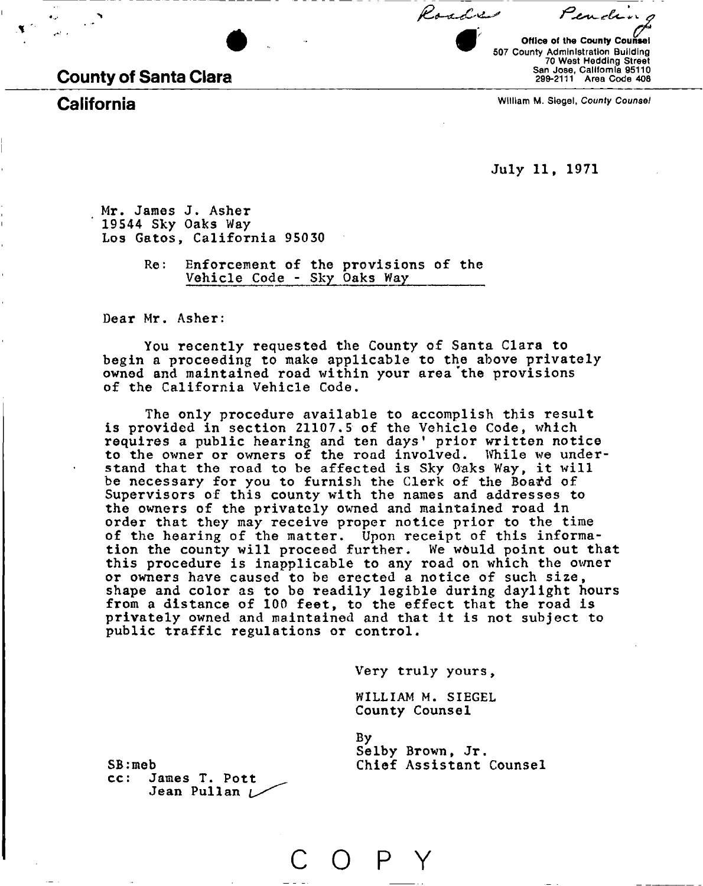County of Santa Clara

Office of the County Counsel 507 County Administration Building 70 West Hedding Street San Jose, California 95110 299-2111 Area Code 408

Pendens

California William M. Siegel, *County Counsel* 

July 11, 1971

Roadres

Mr. James J. Asher 19544 Sky Oaks Way Los Gatos, California 95030

> Re: Enforcement of the provisions of the Vehicle Code - Sky Oaks Way

Dear Mr. Asher:

You recently requested the County of Santa Clara to begin a proceeding to make applicable to the above privately owned and maintained road within your area "the provisions of the California Vehicle Code.

The only procedure available to accomplish this result is provided in section 21107.5 of the Vehicle Code, which requires a public hearing and ten days' prior written notice to the owner or owners of the road involved. While we understand that the road to be affected is Sky Oaks Way, it will be necessary for you to furnish the Clerk of the Board of Supervisors of this county with the names and addresses to the owners of the privately owned and maintained road in order that they may receive proper notice prior to the time of the hearing of the matter. Upon receipt of this information the county will proceed further. We would point out that this procedure is inapplicable to any road on which the owner or owners have caused to be erected a notice of such size, shape and color as to be readily legible during daylight hours from a distance of 100 feet, to the effect that the road is privately owned and maintained and that it is not subject to public traffic regulations or control.

Very truly yours,

WILLIAM M. SIEGEL County Counsel

P

By Selby Brown, Jr. Chief Assistant Counsel

 $SE:meb$ <br> $cc:J$ James T. Pott Jean Pullan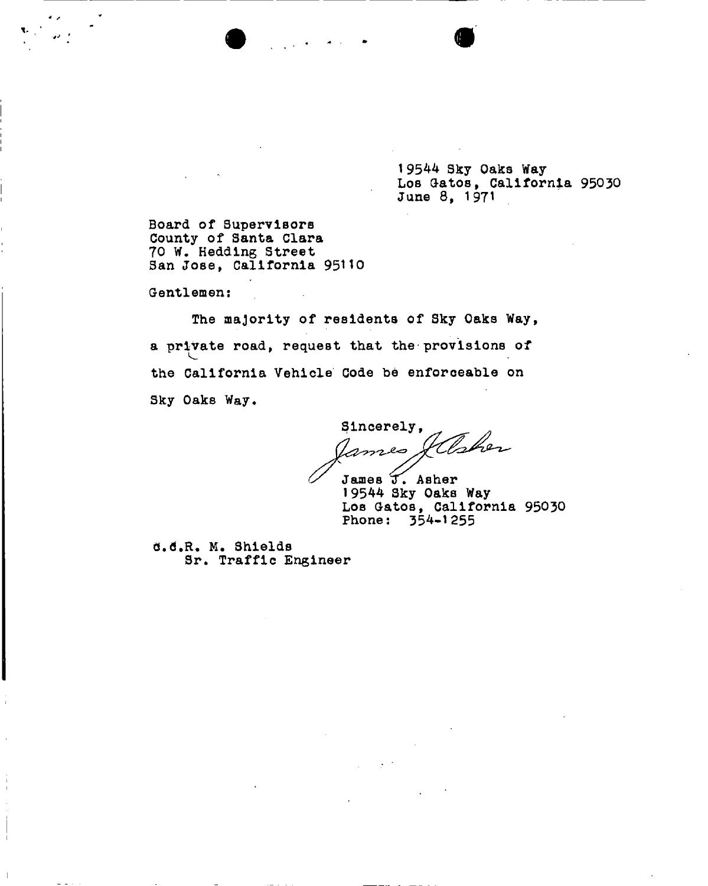19544 Sky Oaks Way Los Gatos, California 95030 June 8, 1971

Board of Supervisors County of Santa Clara 70 W. Hedding Street San Jose, California 95110

Gentlemen:

The majority of residents of Sky Oaks Way, a private road, request that the provisions of the California Vehicle Code be enforceable on Sky Oaks Way.

Sincerely, mes Jahren

James T. Asher 19544 Sky Oaks Way Los Gatos, California 95030 Phone: 354-1255

Q.6.R. M. Shields Sr. Traffic Engineer